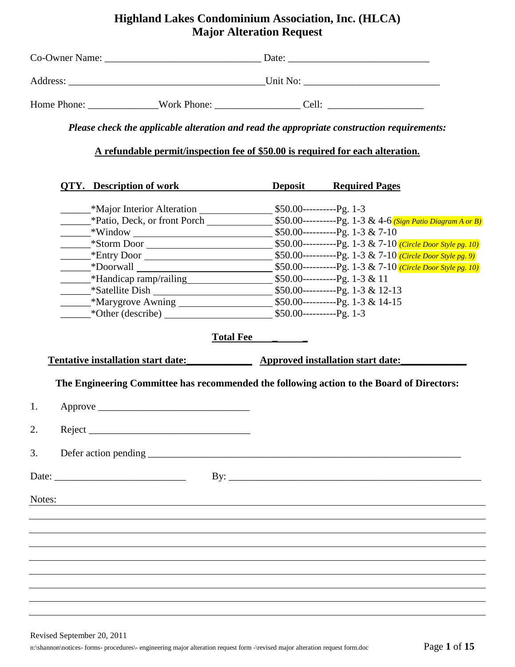# **Highland Lakes Condominium Association, Inc. (HLCA) Major Alteration Request**

| Co-Owner Name: |             | Date:    |  |
|----------------|-------------|----------|--|
| Address:       |             | Unit No: |  |
| Home Phone:    | Work Phone: | Cell:    |  |

*Please check the applicable alteration and read the appropriate construction requirements:* 

**A refundable permit/inspection fee of \$50.00 is required for each alteration.**

|                      | <b>QTY.</b> Description of work                                      |                   | <b>Deposit</b> Required Pages                                                                                    |
|----------------------|----------------------------------------------------------------------|-------------------|------------------------------------------------------------------------------------------------------------------|
|                      | -Alternation - \$50.00 ---------Pg. 1-3                              |                   |                                                                                                                  |
|                      |                                                                      |                   |                                                                                                                  |
|                      |                                                                      |                   |                                                                                                                  |
|                      |                                                                      |                   |                                                                                                                  |
|                      |                                                                      |                   |                                                                                                                  |
|                      |                                                                      |                   |                                                                                                                  |
|                      |                                                                      |                   |                                                                                                                  |
|                      |                                                                      |                   |                                                                                                                  |
|                      |                                                                      |                   |                                                                                                                  |
|                      | *Other (describe) 550.00----------Pg. 1-3                            |                   |                                                                                                                  |
|                      |                                                                      | Total Fee _______ |                                                                                                                  |
|                      |                                                                      |                   |                                                                                                                  |
|                      | Tentative installation start date: Approved installation start date: |                   |                                                                                                                  |
| $\mathbf{1}$ .<br>2. |                                                                      |                   |                                                                                                                  |
|                      |                                                                      |                   |                                                                                                                  |
| 3.                   |                                                                      |                   |                                                                                                                  |
|                      | Date: $\frac{1}{2}$                                                  |                   |                                                                                                                  |
| Notes:               |                                                                      |                   | and the control of the control of the control of the control of the control of the control of the control of the |
|                      |                                                                      |                   |                                                                                                                  |
|                      |                                                                      |                   |                                                                                                                  |
|                      |                                                                      |                   |                                                                                                                  |
|                      |                                                                      |                   |                                                                                                                  |
|                      |                                                                      |                   |                                                                                                                  |
|                      |                                                                      |                   |                                                                                                                  |
|                      |                                                                      |                   |                                                                                                                  |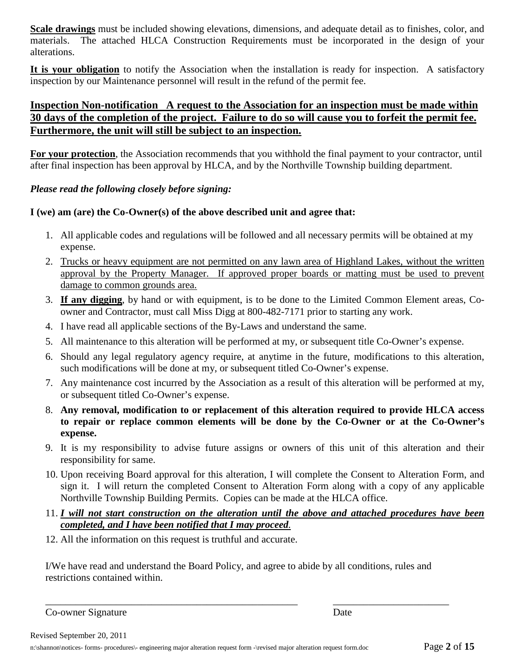**Scale drawings** must be included showing elevations, dimensions, and adequate detail as to finishes, color, and materials. The attached HLCA Construction Requirements must be incorporated in the design of your alterations.

**It is your obligation** to notify the Association when the installation is ready for inspection. A satisfactory inspection by our Maintenance personnel will result in the refund of the permit fee.

## **Inspection Non-notification A request to the Association for an inspection must be made within 30 days of the completion of the project. Failure to do so will cause you to forfeit the permit fee. Furthermore, the unit will still be subject to an inspection.**

**For your protection**, the Association recommends that you withhold the final payment to your contractor, until after final inspection has been approval by HLCA, and by the Northville Township building department.

#### *Please read the following closely before signing:*

#### **I (we) am (are) the Co-Owner(s) of the above described unit and agree that:**

- 1. All applicable codes and regulations will be followed and all necessary permits will be obtained at my expense.
- 2. Trucks or heavy equipment are not permitted on any lawn area of Highland Lakes, without the written approval by the Property Manager. If approved proper boards or matting must be used to prevent damage to common grounds area.
- 3. **If any digging**, by hand or with equipment, is to be done to the Limited Common Element areas, Coowner and Contractor, must call Miss Digg at 800-482-7171 prior to starting any work.
- 4. I have read all applicable sections of the By-Laws and understand the same.
- 5. All maintenance to this alteration will be performed at my, or subsequent title Co-Owner's expense.
- 6. Should any legal regulatory agency require, at anytime in the future, modifications to this alteration, such modifications will be done at my, or subsequent titled Co-Owner's expense.
- 7. Any maintenance cost incurred by the Association as a result of this alteration will be performed at my, or subsequent titled Co-Owner's expense.
- 8. **Any removal, modification to or replacement of this alteration required to provide HLCA access to repair or replace common elements will be done by the Co-Owner or at the Co-Owner's expense.**
- 9. It is my responsibility to advise future assigns or owners of this unit of this alteration and their responsibility for same.
- 10. Upon receiving Board approval for this alteration, I will complete the Consent to Alteration Form, and sign it. I will return the completed Consent to Alteration Form along with a copy of any applicable Northville Township Building Permits. Copies can be made at the HLCA office.
- 11. *I will not start construction on the alteration until the above and attached procedures have been completed, and I have been notified that I may proceed.*
- 12. All the information on this request is truthful and accurate.

I/We have read and understand the Board Policy, and agree to abide by all conditions, rules and restrictions contained within.

\_\_\_\_\_\_\_\_\_\_\_\_\_\_\_\_\_\_\_\_\_\_\_\_\_\_\_\_\_\_\_\_\_\_\_\_\_\_\_\_\_\_\_\_\_\_\_\_\_\_ \_\_\_\_\_\_\_\_\_\_\_\_\_\_\_\_\_\_\_\_\_\_\_

Co-owner Signature Date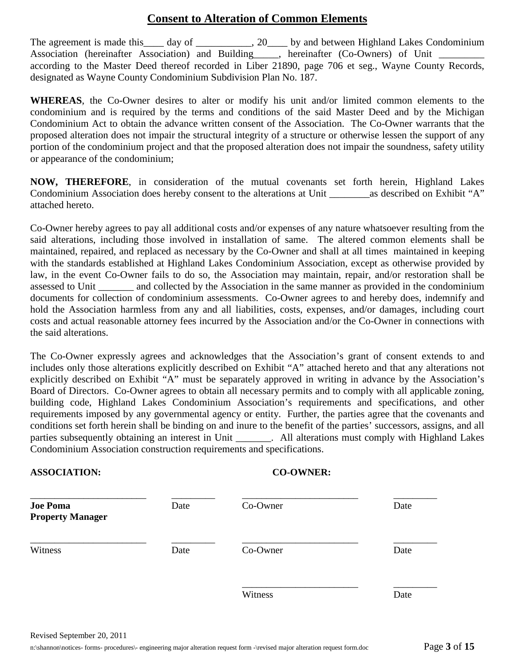# **Consent to Alteration of Common Elements**

The agreement is made this day of  $\qquad \qquad$ , 20 by and between Highland Lakes Condominium Association (hereinafter Association) and Building\_\_\_\_, hereinafter (Co-Owners) of Unit \_ according to the Master Deed thereof recorded in Liber 21890, page 706 et seg., Wayne County Records, designated as Wayne County Condominium Subdivision Plan No. 187.

**WHEREAS**, the Co-Owner desires to alter or modify his unit and/or limited common elements to the condominium and is required by the terms and conditions of the said Master Deed and by the Michigan Condominium Act to obtain the advance written consent of the Association. The Co-Owner warrants that the proposed alteration does not impair the structural integrity of a structure or otherwise lessen the support of any portion of the condominium project and that the proposed alteration does not impair the soundness, safety utility or appearance of the condominium;

**NOW, THEREFORE**, in consideration of the mutual covenants set forth herein, Highland Lakes Condominium Association does hereby consent to the alterations at Unit \_\_\_\_\_\_\_\_as described on Exhibit "A" attached hereto.

Co-Owner hereby agrees to pay all additional costs and/or expenses of any nature whatsoever resulting from the said alterations, including those involved in installation of same. The altered common elements shall be maintained, repaired, and replaced as necessary by the Co-Owner and shall at all times maintained in keeping with the standards established at Highland Lakes Condominium Association, except as otherwise provided by law, in the event Co-Owner fails to do so, the Association may maintain, repair, and/or restoration shall be assessed to Unit \_\_\_\_\_\_\_ and collected by the Association in the same manner as provided in the condominium documents for collection of condominium assessments. Co-Owner agrees to and hereby does, indemnify and hold the Association harmless from any and all liabilities, costs, expenses, and/or damages, including court costs and actual reasonable attorney fees incurred by the Association and/or the Co-Owner in connections with the said alterations.

The Co-Owner expressly agrees and acknowledges that the Association's grant of consent extends to and includes only those alterations explicitly described on Exhibit "A" attached hereto and that any alterations not explicitly described on Exhibit "A" must be separately approved in writing in advance by the Association's Board of Directors. Co-Owner agrees to obtain all necessary permits and to comply with all applicable zoning, building code, Highland Lakes Condominium Association's requirements and specifications, and other requirements imposed by any governmental agency or entity. Further, the parties agree that the covenants and conditions set forth herein shall be binding on and inure to the benefit of the parties' successors, assigns, and all parties subsequently obtaining an interest in Unit [15]. All alterations must comply with Highland Lakes Condominium Association construction requirements and specifications.

#### **ASSOCIATION: CO-OWNER:**

| <b>Joe Poma</b><br><b>Property Manager</b> | Date | Co-Owner | Date |
|--------------------------------------------|------|----------|------|
| Witness                                    | Date | Co-Owner | Date |
|                                            |      | Witness  | Date |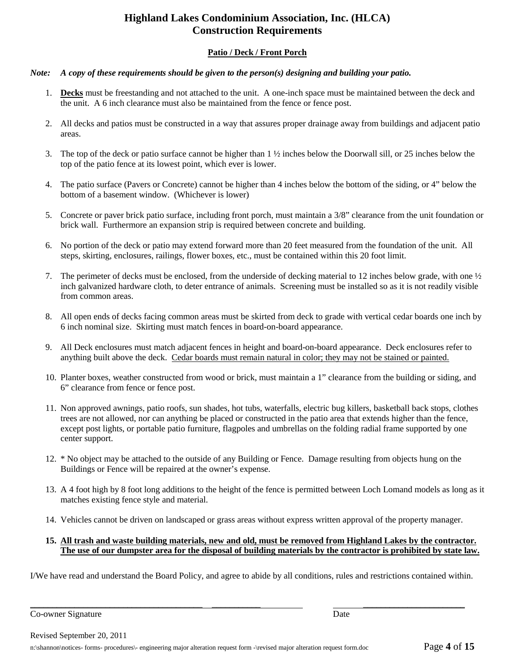# **Highland Lakes Condominium Association, Inc. (HLCA) Construction Requirements**

#### **Patio / Deck / Front Porch**

#### *Note: A copy of these requirements should be given to the person(s) designing and building your patio.*

- 1. **Decks** must be freestanding and not attached to the unit. A one-inch space must be maintained between the deck and the unit. A 6 inch clearance must also be maintained from the fence or fence post.
- 2. All decks and patios must be constructed in a way that assures proper drainage away from buildings and adjacent patio areas.
- 3. The top of the deck or patio surface cannot be higher than 1 ½ inches below the Doorwall sill, or 25 inches below the top of the patio fence at its lowest point, which ever is lower.
- 4. The patio surface (Pavers or Concrete) cannot be higher than 4 inches below the bottom of the siding, or 4" below the bottom of a basement window. (Whichever is lower)
- 5. Concrete or paver brick patio surface, including front porch, must maintain a 3/8" clearance from the unit foundation or brick wall. Furthermore an expansion strip is required between concrete and building.
- 6. No portion of the deck or patio may extend forward more than 20 feet measured from the foundation of the unit. All steps, skirting, enclosures, railings, flower boxes, etc., must be contained within this 20 foot limit.
- 7. The perimeter of decks must be enclosed, from the underside of decking material to 12 inches below grade, with one ½ inch galvanized hardware cloth, to deter entrance of animals. Screening must be installed so as it is not readily visible from common areas.
- 8. All open ends of decks facing common areas must be skirted from deck to grade with vertical cedar boards one inch by 6 inch nominal size. Skirting must match fences in board-on-board appearance.
- 9. All Deck enclosures must match adjacent fences in height and board-on-board appearance. Deck enclosures refer to anything built above the deck. Cedar boards must remain natural in color; they may not be stained or painted.
- 10. Planter boxes, weather constructed from wood or brick, must maintain a 1" clearance from the building or siding, and 6" clearance from fence or fence post.
- 11. Non approved awnings, patio roofs, sun shades, hot tubs, waterfalls, electric bug killers, basketball back stops, clothes trees are not allowed, nor can anything be placed or constructed in the patio area that extends higher than the fence, except post lights, or portable patio furniture, flagpoles and umbrellas on the folding radial frame supported by one center support.
- 12. \* No object may be attached to the outside of any Building or Fence. Damage resulting from objects hung on the Buildings or Fence will be repaired at the owner's expense.
- 13. A 4 foot high by 8 foot long additions to the height of the fence is permitted between Loch Lomand models as long as it matches existing fence style and material.
- 14. Vehicles cannot be driven on landscaped or grass areas without express written approval of the property manager.

#### **15. All trash and waste building materials, new and old, must be removed from Highland Lakes by the contractor. The use of our dumpster area for the disposal of building materials by the contractor is prohibited by state law.**

I/We have read and understand the Board Policy, and agree to abide by all conditions, rules and restrictions contained within.

\_\_\_\_\_\_\_\_\_\_\_\_\_\_\_\_\_\_\_\_\_\_\_\_\_\_\_\_\_\_\_\_\_\_\_\_\_\_\_ \_\_\_\_\_\_\_\_\_\_\_ \_\_\_\_\_\_\_\_\_\_\_\_\_\_\_\_\_\_\_\_\_\_\_

Co-owner Signature Date Date of the United States and Date Date Date Date Date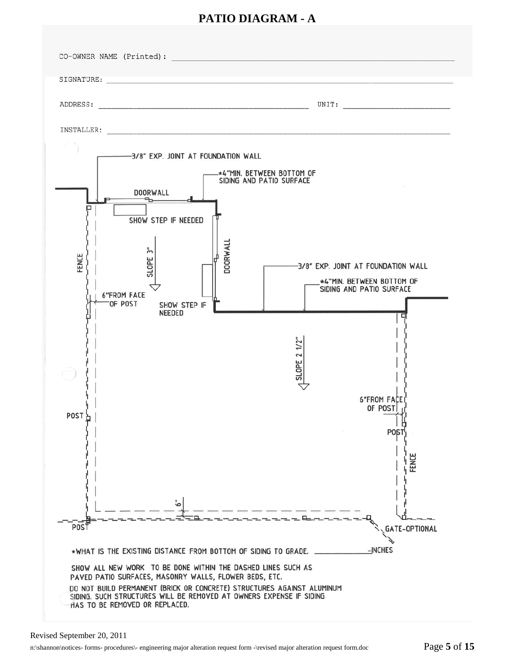# **PATIO DIAGRAM - A**

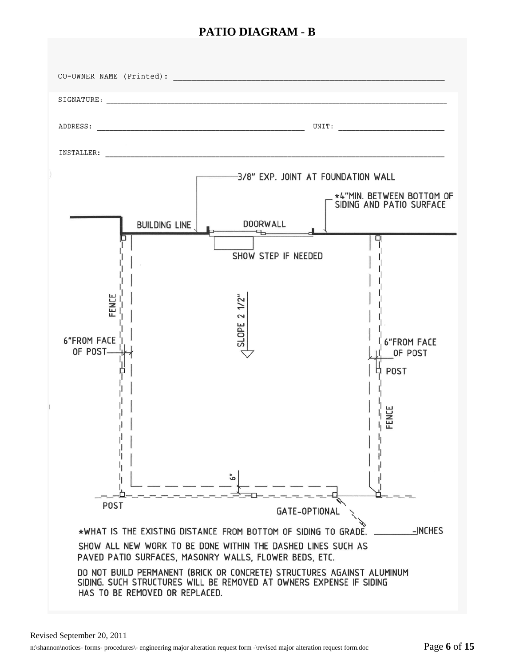# **PATIO DIAGRAM - B**

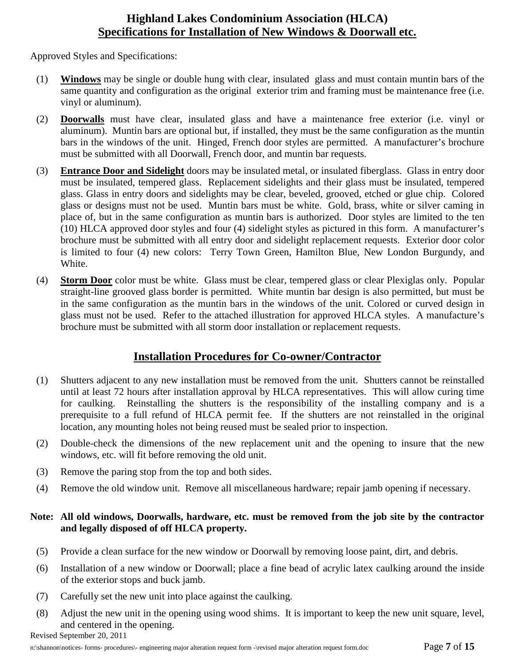# **Highland Lakes Condominium Association (HLCA) Specifications for Installation of New Windows & Doorwall etc.**

Approved Styles and Specifications:

- (1) **Windows** may be single or double hung with clear, insulated glass and must contain muntin bars of the same quantity and configuration as the original exterior trim and framing must be maintenance free (i.e. vinyl or aluminum).
- (2) **Doorwalls** must have clear, insulated glass and have a maintenance free exterior (i.e. vinyl or aluminum). Muntin bars are optional but, if installed, they must be the same configuration as the muntin bars in the windows of the unit. Hinged, French door styles are permitted. A manufacturer's brochure must be submitted with all Doorwall, French door, and muntin bar requests.
- (3) **Entrance Door and Sidelight** doors may be insulated metal, or insulated fiberglass. Glass in entry door must be insulated, tempered glass. Replacement sidelights and their glass must be insulated, tempered glass. Glass in entry doors and sidelights may be clear, beveled, grooved, etched or glue chip. Colored glass or designs must not be used. Muntin bars must be white. Gold, brass, white or silver caming in place of, but in the same configuration as muntin bars is authorized. Door styles are limited to the ten (10) HLCA approved door styles and four (4) sidelight styles as pictured in this form. A manufacturer's brochure must be submitted with all entry door and sidelight replacement requests. Exterior door color is limited to four (4) new colors: Terry Town Green, Hamilton Blue, New London Burgundy, and White.
- (4) **Storm Door** color must be white. Glass must be clear, tempered glass or clear Plexiglas only. Popular straight-line grooved glass border is permitted. White muntin bar design is also permitted, but must be in the same configuration as the muntin bars in the windows of the unit. Colored or curved design in glass must not be used. Refer to the attached illustration for approved HLCA styles. A manufacture's brochure must be submitted with all storm door installation or replacement requests.

# **Installation Procedures for Co-owner/Contractor**

- (1) Shutters adjacent to any new installation must be removed from the unit. Shutters cannot be reinstalled until at least 72 hours after installation approval by HLCA representatives. This will allow curing time for caulking. Reinstalling the shutters is the responsibility of the installing company and is a prerequisite to a full refund of HLCA permit fee. If the shutters are not reinstalled in the original location, any mounting holes not being reused must be sealed prior to inspection.
- (2) Double-check the dimensions of the new replacement unit and the opening to insure that the new windows, etc. will fit before removing the old unit.
- (3) Remove the paring stop from the top and both sides.
- (4) Remove the old window unit. Remove all miscellaneous hardware; repair jamb opening if necessary.

### **Note: All old windows, Doorwalls, hardware, etc. must be removed from the job site by the contractor and legally disposed of off HLCA property.**

- (5) Provide a clean surface for the new window or Doorwall by removing loose paint, dirt, and debris.
- (6) Installation of a new window or Doorwall; place a fine bead of acrylic latex caulking around the inside of the exterior stops and buck jamb.
- (7) Carefully set the new unit into place against the caulking.
- (8) Adjust the new unit in the opening using wood shims. It is important to keep the new unit square, level, and centered in the opening.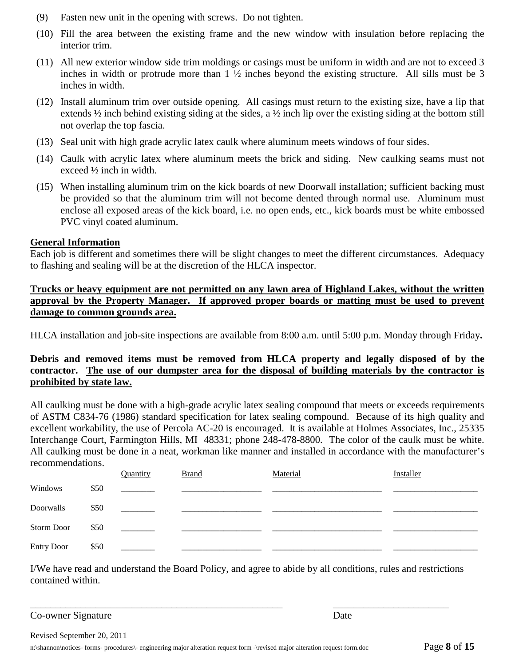- (9) Fasten new unit in the opening with screws. Do not tighten.
- (10) Fill the area between the existing frame and the new window with insulation before replacing the interior trim.
- (11) All new exterior window side trim moldings or casings must be uniform in width and are not to exceed 3 inches in width or protrude more than 1 ½ inches beyond the existing structure. All sills must be 3 inches in width.
- (12) Install aluminum trim over outside opening. All casings must return to the existing size, have a lip that extends ½ inch behind existing siding at the sides, a ½ inch lip over the existing siding at the bottom still not overlap the top fascia.
- (13) Seal unit with high grade acrylic latex caulk where aluminum meets windows of four sides.
- (14) Caulk with acrylic latex where aluminum meets the brick and siding. New caulking seams must not exceed ½ inch in width.
- (15) When installing aluminum trim on the kick boards of new Doorwall installation; sufficient backing must be provided so that the aluminum trim will not become dented through normal use. Aluminum must enclose all exposed areas of the kick board, i.e. no open ends, etc., kick boards must be white embossed PVC vinyl coated aluminum.

#### **General Information**

Each job is different and sometimes there will be slight changes to meet the different circumstances. Adequacy to flashing and sealing will be at the discretion of the HLCA inspector.

#### **Trucks or heavy equipment are not permitted on any lawn area of Highland Lakes, without the written approval by the Property Manager. If approved proper boards or matting must be used to prevent damage to common grounds area.**

HLCA installation and job-site inspections are available from 8:00 a.m. until 5:00 p.m. Monday through Friday**.** 

### **Debris and removed items must be removed from HLCA property and legally disposed of by the contractor. The use of our dumpster area for the disposal of building materials by the contractor is prohibited by state law.**

All caulking must be done with a high-grade acrylic latex sealing compound that meets or exceeds requirements of ASTM C834-76 (1986) standard specification for latex sealing compound. Because of its high quality and excellent workability, the use of Percola AC-20 is encouraged. It is available at Holmes Associates, Inc., 25335 Interchange Court, Farmington Hills, MI 48331; phone 248-478-8800. The color of the caulk must be white. All caulking must be done in a neat, workman like manner and installed in accordance with the manufacturer's recommendations.

|                   |      | Quantity | <b>Brand</b> | Material | Installer |
|-------------------|------|----------|--------------|----------|-----------|
| Windows           | \$50 |          |              |          |           |
| Doorwalls         | \$50 |          |              |          |           |
| Storm Door        | \$50 |          |              |          |           |
| <b>Entry Door</b> | \$50 |          |              |          |           |

I/We have read and understand the Board Policy, and agree to abide by all conditions, rules and restrictions contained within.

\_\_\_\_\_\_\_\_\_\_\_\_\_\_\_\_\_\_\_\_\_\_\_\_\_\_\_\_\_\_\_\_\_\_\_\_\_\_\_\_\_\_\_\_\_\_\_\_\_\_ \_\_\_\_\_\_\_\_\_\_\_\_\_\_\_\_\_\_\_\_\_\_\_

Co-owner Signature Date

Revised September 20, 2011

n:\shannon\notices- forms- procedures\- engineering major alteration request form -\revised major alteration request form.doc Page **8** of **15**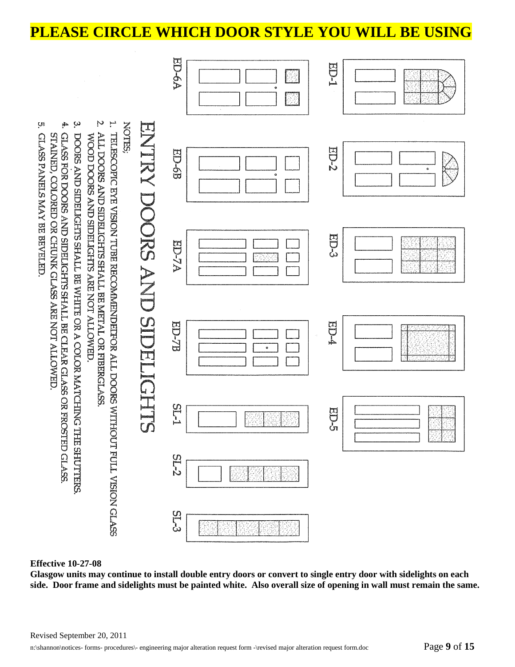# **PLEASE CIRCLE WHICH DOOR STYLE YOU WILL BE USING**



#### **Effective 10-27-08**

**Glasgow units may continue to install double entry doors or convert to single entry door with sidelights on each side. Door frame and sidelights must be painted white. Also overall size of opening in wall must remain the same.**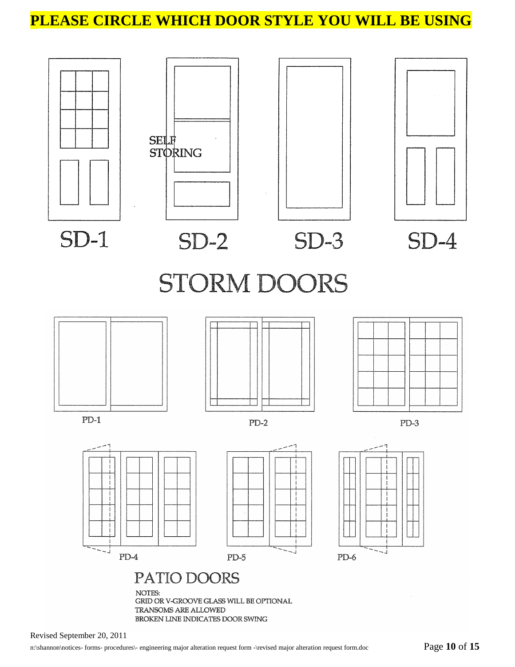# **PLEASE CIRCLE WHICH DOOR STYLE YOU WILL BE USING**



Revised September 20, 2011

٠J

PD-4

NOTES:

BROKEN LINE INDICATES DOOR SWING

GRID OR V-GROOVE GLASS WILL BE OPTIONAL

PATIO DOORS

TRANSOMS ARE ALLOWED

PD-5

ЧJ

PD-6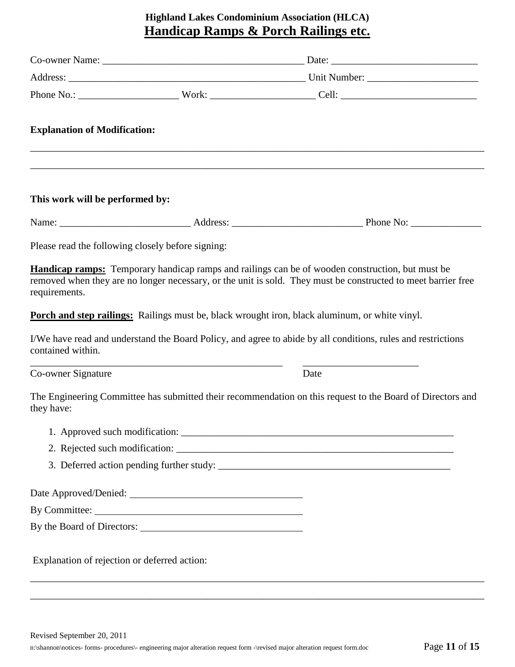# **Highland Lakes Condominium Association (HLCA) Handicap Ramps & Porch Railings etc.**

| <b>Explanation of Modification:</b>               |                                                                                                                                                                                                                                                                                                                                                                                                                                                   |
|---------------------------------------------------|---------------------------------------------------------------------------------------------------------------------------------------------------------------------------------------------------------------------------------------------------------------------------------------------------------------------------------------------------------------------------------------------------------------------------------------------------|
| This work will be performed by:                   |                                                                                                                                                                                                                                                                                                                                                                                                                                                   |
|                                                   |                                                                                                                                                                                                                                                                                                                                                                                                                                                   |
| Please read the following closely before signing: |                                                                                                                                                                                                                                                                                                                                                                                                                                                   |
| requirements.<br>contained within.                | <b>Handicap ramps:</b> Temporary handicap ramps and railings can be of wooden construction, but must be<br>removed when they are no longer necessary, or the unit is sold. They must be constructed to meet barrier free<br><b>Porch and step railings:</b> Railings must be, black wrought iron, black aluminum, or white vinyl.<br>I/We have read and understand the Board Policy, and agree to abide by all conditions, rules and restrictions |
| Co-owner Signature                                | Date                                                                                                                                                                                                                                                                                                                                                                                                                                              |
| they have:                                        | The Engineering Committee has submitted their recommendation on this request to the Board of Directors and                                                                                                                                                                                                                                                                                                                                        |
|                                                   |                                                                                                                                                                                                                                                                                                                                                                                                                                                   |
|                                                   |                                                                                                                                                                                                                                                                                                                                                                                                                                                   |
|                                                   |                                                                                                                                                                                                                                                                                                                                                                                                                                                   |
|                                                   |                                                                                                                                                                                                                                                                                                                                                                                                                                                   |
|                                                   |                                                                                                                                                                                                                                                                                                                                                                                                                                                   |
|                                                   |                                                                                                                                                                                                                                                                                                                                                                                                                                                   |
| Explanation of rejection or deferred action:      |                                                                                                                                                                                                                                                                                                                                                                                                                                                   |

\_\_\_\_\_\_\_\_\_\_\_\_\_\_\_\_\_\_\_\_\_\_\_\_\_\_\_\_\_\_\_\_\_\_\_\_\_\_\_\_\_\_\_\_\_\_\_\_\_\_\_\_\_\_\_\_\_\_\_\_\_\_\_\_\_\_\_\_\_\_\_\_\_\_\_\_\_\_\_\_\_\_\_\_\_\_\_\_\_\_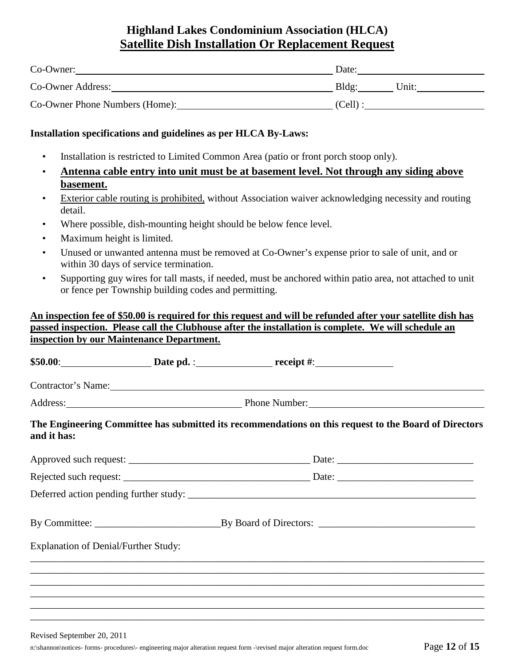# **Highland Lakes Condominium Association (HLCA) Satellite Dish Installation Or Replacement Request**

| Co-Owner:                      | Date:          |
|--------------------------------|----------------|
| Co-Owner Address:              | Bldg:<br>Unit: |
| Co-Owner Phone Numbers (Home): | $(Cell)$ :     |

#### **Installation specifications and guidelines as per HLCA By-Laws:**

- Installation is restricted to Limited Common Area (patio or front porch stoop only).
- **Antenna cable entry into unit must be at basement level. Not through any siding above basement.**
- Exterior cable routing is prohibited, without Association waiver acknowledging necessity and routing detail.
- Where possible, dish-mounting height should be below fence level.
- Maximum height is limited.
- Unused or unwanted antenna must be removed at Co-Owner's expense prior to sale of unit, and or within 30 days of service termination.
- Supporting guy wires for tall masts, if needed, must be anchored within patio area, not attached to unit or fence per Township building codes and permitting.

#### **An inspection fee of \$50.00 is required for this request and will be refunded after your satellite dish has passed inspection. Please call the Clubhouse after the installation is complete. We will schedule an inspection by our Maintenance Department.**

**\$50.00**: **Date pd.** : **receipt #**:

Contractor's Name:

Address: Phone Number:

#### **The Engineering Committee has submitted its recommendations on this request to the Board of Directors and it has:**

| <b>Explanation of Denial/Further Study:</b> |  |
|---------------------------------------------|--|
|                                             |  |
|                                             |  |
|                                             |  |
|                                             |  |

\_\_\_\_\_\_\_\_\_\_\_\_\_\_\_\_\_\_\_\_\_\_\_\_\_\_\_\_\_\_\_\_\_\_\_\_\_\_\_\_\_\_\_\_\_\_\_\_\_\_\_\_\_\_\_\_\_\_\_\_\_\_\_\_\_\_\_\_\_\_\_\_\_\_\_\_\_\_\_\_\_\_\_\_\_\_\_\_\_\_

Revised September 20, 2011

n:\shannon\notices- forms- procedures\- engineering major alteration request form -\revised major alteration request form.doc Page **12** of **15**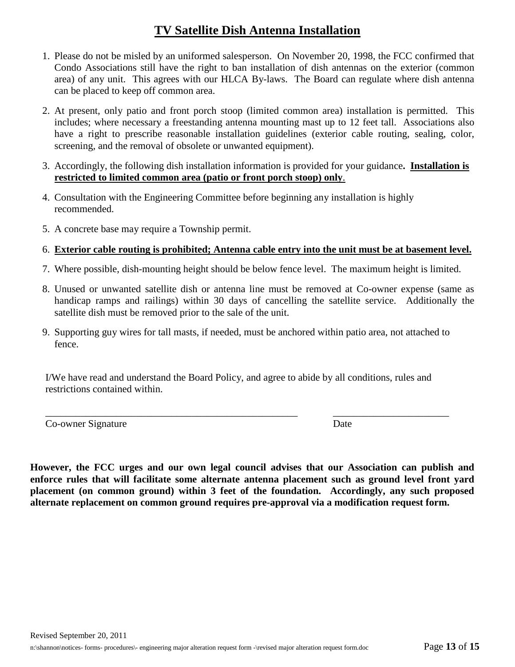# **TV Satellite Dish Antenna Installation**

- 1. Please do not be misled by an uniformed salesperson. On November 20, 1998, the FCC confirmed that Condo Associations still have the right to ban installation of dish antennas on the exterior (common area) of any unit. This agrees with our HLCA By-laws. The Board can regulate where dish antenna can be placed to keep off common area.
- 2. At present, only patio and front porch stoop (limited common area) installation is permitted. This includes; where necessary a freestanding antenna mounting mast up to 12 feet tall. Associations also have a right to prescribe reasonable installation guidelines (exterior cable routing, sealing, color, screening, and the removal of obsolete or unwanted equipment).
- 3. Accordingly, the following dish installation information is provided for your guidance**. Installation is restricted to limited common area (patio or front porch stoop) only**.
- 4. Consultation with the Engineering Committee before beginning any installation is highly recommended.
- 5. A concrete base may require a Township permit.

#### 6. **Exterior cable routing is prohibited; Antenna cable entry into the unit must be at basement level.**

- 7. Where possible, dish-mounting height should be below fence level. The maximum height is limited.
- 8. Unused or unwanted satellite dish or antenna line must be removed at Co-owner expense (same as handicap ramps and railings) within 30 days of cancelling the satellite service. Additionally the satellite dish must be removed prior to the sale of the unit.
- 9. Supporting guy wires for tall masts, if needed, must be anchored within patio area, not attached to fence.

I/We have read and understand the Board Policy, and agree to abide by all conditions, rules and restrictions contained within.

\_\_\_\_\_\_\_\_\_\_\_\_\_\_\_\_\_\_\_\_\_\_\_\_\_\_\_\_\_\_\_\_\_\_\_\_\_\_\_\_\_\_\_\_\_\_\_\_\_\_ \_\_\_\_\_\_\_\_\_\_\_\_\_\_\_\_\_\_\_\_\_\_\_

Co-owner Signature Date

**However, the FCC urges and our own legal council advises that our Association can publish and enforce rules that will facilitate some alternate antenna placement such as ground level front yard placement (on common ground) within 3 feet of the foundation. Accordingly, any such proposed alternate replacement on common ground requires pre-approval via a modification request form.**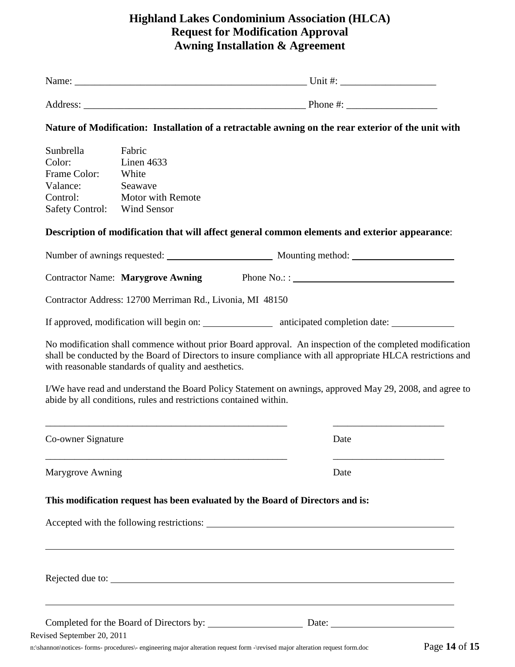# **Highland Lakes Condominium Association (HLCA) Request for Modification Approval Awning Installation & Agreement**

|                                        |                                                                   | Nature of Modification: Installation of a retractable awning on the rear exterior of the unit with                                                                                                                                                                                                                                                       |
|----------------------------------------|-------------------------------------------------------------------|----------------------------------------------------------------------------------------------------------------------------------------------------------------------------------------------------------------------------------------------------------------------------------------------------------------------------------------------------------|
| Sunbrella                              | Fabric                                                            |                                                                                                                                                                                                                                                                                                                                                          |
| Color:                                 | Linen 4633                                                        |                                                                                                                                                                                                                                                                                                                                                          |
| Frame Color:                           | White                                                             |                                                                                                                                                                                                                                                                                                                                                          |
| Valance:                               | Seawave                                                           |                                                                                                                                                                                                                                                                                                                                                          |
| Control:<br><b>Safety Control:</b>     | <b>Motor with Remote</b><br><b>Wind Sensor</b>                    |                                                                                                                                                                                                                                                                                                                                                          |
|                                        |                                                                   | Description of modification that will affect general common elements and exterior appearance:                                                                                                                                                                                                                                                            |
|                                        |                                                                   |                                                                                                                                                                                                                                                                                                                                                          |
|                                        |                                                                   | Contractor Name: <b>Marygrove Awning</b> Phone No.: :                                                                                                                                                                                                                                                                                                    |
|                                        |                                                                   |                                                                                                                                                                                                                                                                                                                                                          |
|                                        | Contractor Address: 12700 Merriman Rd., Livonia, MI 48150         |                                                                                                                                                                                                                                                                                                                                                          |
|                                        |                                                                   |                                                                                                                                                                                                                                                                                                                                                          |
|                                        |                                                                   |                                                                                                                                                                                                                                                                                                                                                          |
|                                        | with reasonable standards of quality and aesthetics.              |                                                                                                                                                                                                                                                                                                                                                          |
|                                        | abide by all conditions, rules and restrictions contained within. |                                                                                                                                                                                                                                                                                                                                                          |
|                                        |                                                                   | Date                                                                                                                                                                                                                                                                                                                                                     |
|                                        |                                                                   | Date                                                                                                                                                                                                                                                                                                                                                     |
|                                        |                                                                   | This modification request has been evaluated by the Board of Directors and is:                                                                                                                                                                                                                                                                           |
| Co-owner Signature<br>Marygrove Awning |                                                                   |                                                                                                                                                                                                                                                                                                                                                          |
|                                        |                                                                   | No modification shall commence without prior Board approval. An inspection of the completed modification<br>shall be conducted by the Board of Directors to insure compliance with all appropriate HLCA restrictions and<br>I/We have read and understand the Board Policy Statement on awnings, approved May 29, 2008, and agree to<br>Rejected due to: |